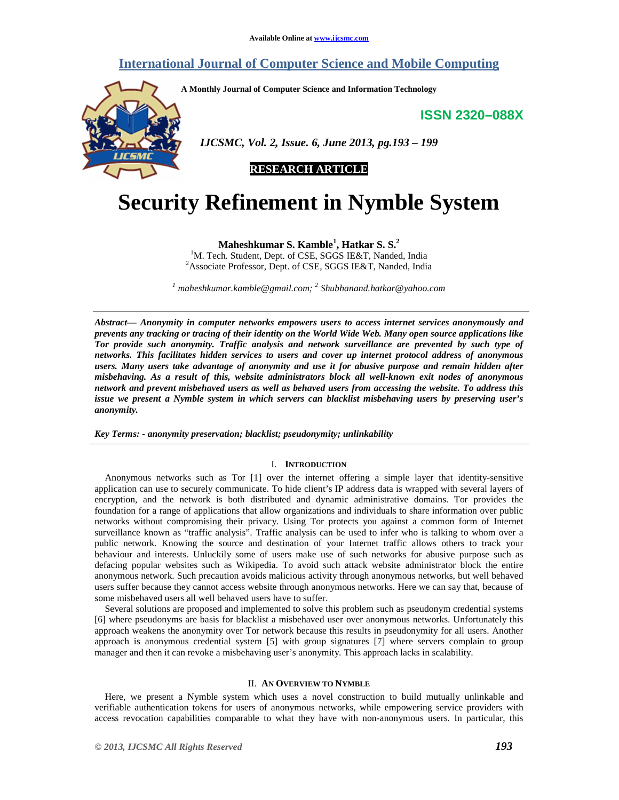# **International Journal of Computer Science and Mobile Computing**

**A Monthly Journal of Computer Science and Information Technology** 

**ISSN 2320–088X**



 *IJCSMC, Vol. 2, Issue. 6, June 2013, pg.193 – 199* 

**RESEARCH ARTICLE** 

# **Security Refinement in Nymble System**

**Maheshkumar S. Kamble<sup>1</sup> , Hatkar S. S.<sup>2</sup>**

<sup>1</sup>M. Tech. Student, Dept. of CSE, SGGS IE&T, Nanded, India <sup>2</sup>Associate Professor, Dept. of CSE, SGGS IE&T, Nanded, India

*1 maheshkumar.kamble@gmail.com; <sup>2</sup> Shubhanand.hatkar@yahoo.com*

*Abstract— Anonymity in computer networks empowers users to access internet services anonymously and prevents any tracking or tracing of their identity on the World Wide Web. Many open source applications like Tor provide such anonymity. Traffic analysis and network surveillance are prevented by such type of networks. This facilitates hidden services to users and cover up internet protocol address of anonymous users. Many users take advantage of anonymity and use it for abusive purpose and remain hidden after misbehaving. As a result of this, website administrators block all well-known exit nodes of anonymous network and prevent misbehaved users as well as behaved users from accessing the website. To address this issue we present a Nymble system in which servers can blacklist misbehaving users by preserving user's anonymity.* 

*Key Terms: - anonymity preservation; blacklist; pseudonymity; unlinkability* 

#### I. **INTRODUCTION**

Anonymous networks such as Tor [1] over the internet offering a simple layer that identity-sensitive application can use to securely communicate. To hide client's IP address data is wrapped with several layers of encryption, and the network is both distributed and dynamic administrative domains. Tor provides the foundation for a range of applications that allow organizations and individuals to share information over public networks without compromising their privacy. Using Tor protects you against a common form of Internet surveillance known as "traffic analysis". Traffic analysis can be used to infer who is talking to whom over a public network. Knowing the source and destination of your Internet traffic allows others to track your behaviour and interests. Unluckily some of users make use of such networks for abusive purpose such as defacing popular websites such as Wikipedia. To avoid such attack website administrator block the entire anonymous network. Such precaution avoids malicious activity through anonymous networks, but well behaved users suffer because they cannot access website through anonymous networks. Here we can say that, because of some misbehaved users all well behaved users have to suffer.

Several solutions are proposed and implemented to solve this problem such as pseudonym credential systems [6] where pseudonyms are basis for blacklist a misbehaved user over anonymous networks. Unfortunately this approach weakens the anonymity over Tor network because this results in pseudonymity for all users. Another approach is anonymous credential system [5] with group signatures [7] where servers complain to group manager and then it can revoke a misbehaving user's anonymity. This approach lacks in scalability.

### II. **AN OVERVIEW TO NYMBLE**

Here, we present a Nymble system which uses a novel construction to build mutually unlinkable and verifiable authentication tokens for users of anonymous networks, while empowering service providers with access revocation capabilities comparable to what they have with non-anonymous users. In particular, this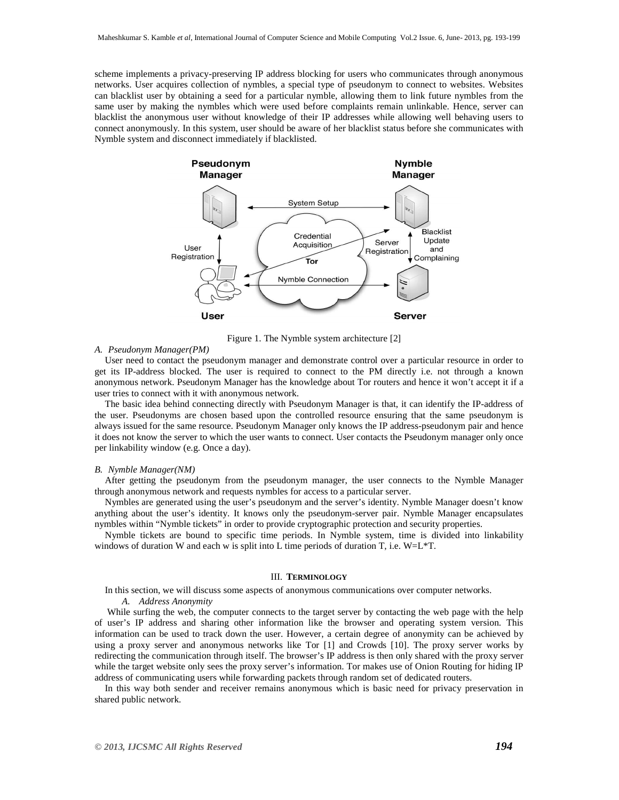scheme implements a privacy-preserving IP address blocking for users who communicates through anonymous networks. User acquires collection of nymbles, a special type of pseudonym to connect to websites. Websites can blacklist user by obtaining a seed for a particular nymble, allowing them to link future nymbles from the same user by making the nymbles which were used before complaints remain unlinkable. Hence, server can blacklist the anonymous user without knowledge of their IP addresses while allowing well behaving users to connect anonymously. In this system, user should be aware of her blacklist status before she communicates with Nymble system and disconnect immediately if blacklisted.



Figure 1. The Nymble system architecture [2]

## *A. Pseudonym Manager(PM)*

User need to contact the pseudonym manager and demonstrate control over a particular resource in order to get its IP-address blocked. The user is required to connect to the PM directly i.e. not through a known anonymous network. Pseudonym Manager has the knowledge about Tor routers and hence it won't accept it if a user tries to connect with it with anonymous network.

The basic idea behind connecting directly with Pseudonym Manager is that, it can identify the IP-address of the user. Pseudonyms are chosen based upon the controlled resource ensuring that the same pseudonym is always issued for the same resource. Pseudonym Manager only knows the IP address-pseudonym pair and hence it does not know the server to which the user wants to connect. User contacts the Pseudonym manager only once per linkability window (e.g. Once a day).

#### *B. Nymble Manager(NM)*

After getting the pseudonym from the pseudonym manager, the user connects to the Nymble Manager through anonymous network and requests nymbles for access to a particular server.

Nymbles are generated using the user's pseudonym and the server's identity. Nymble Manager doesn't know anything about the user's identity. It knows only the pseudonym-server pair. Nymble Manager encapsulates nymbles within "Nymble tickets" in order to provide cryptographic protection and security properties.

Nymble tickets are bound to specific time periods. In Nymble system, time is divided into linkability windows of duration W and each w is split into L time periods of duration T, i.e.  $W=L^*T$ .

## III. **TERMINOLOGY**

In this section, we will discuss some aspects of anonymous communications over computer networks.

# *A. Address Anonymity*

While surfing the web, the computer connects to the target server by contacting the web page with the help of user's IP address and sharing other information like the browser and operating system version. This information can be used to track down the user. However, a certain degree of anonymity can be achieved by using a proxy server and anonymous networks like Tor [1] and Crowds [10]. The proxy server works by redirecting the communication through itself. The browser's IP address is then only shared with the proxy server while the target website only sees the proxy server's information. Tor makes use of Onion Routing for hiding IP address of communicating users while forwarding packets through random set of dedicated routers.

In this way both sender and receiver remains anonymous which is basic need for privacy preservation in shared public network.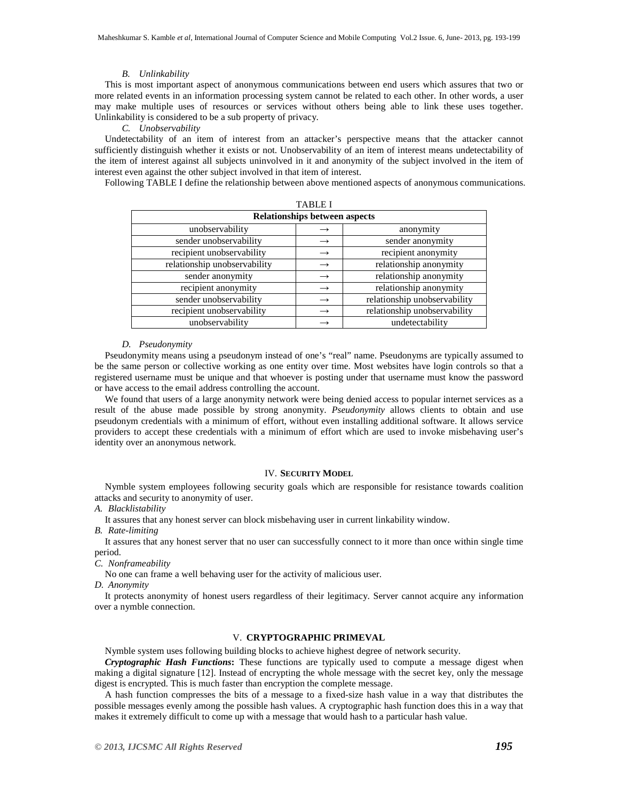#### *B. Unlinkability*

This is most important aspect of anonymous communications between end users which assures that two or more related events in an information processing system cannot be related to each other. In other words, a user may make multiple uses of resources or services without others being able to link these uses together. Unlinkability is considered to be a sub property of privacy.

*C. Unobservability* 

Undetectability of an item of interest from an attacker's perspective means that the attacker cannot sufficiently distinguish whether it exists or not. Unobservability of an item of interest means undetectability of the item of interest against all subjects uninvolved in it and anonymity of the subject involved in the item of interest even against the other subject involved in that item of interest.

Following TABLE I define the relationship between above mentioned aspects of anonymous communications. TABLE I

| <b>Relationships between aspects</b> |                              |  |  |
|--------------------------------------|------------------------------|--|--|
|                                      | anonymity                    |  |  |
| $\rightarrow$                        | sender anonymity             |  |  |
| $\rightarrow$                        | recipient anonymity          |  |  |
| $\rightarrow$                        | relationship anonymity       |  |  |
| $\rightarrow$                        | relationship anonymity       |  |  |
| $\rightarrow$                        | relationship anonymity       |  |  |
|                                      | relationship unobservability |  |  |
| $\rightarrow$                        | relationship unobservability |  |  |
|                                      | undetectability              |  |  |
|                                      | TABLE I                      |  |  |

#### *D. Pseudonymity*

Pseudonymity means using a pseudonym instead of one's "real" name. Pseudonyms are typically assumed to be the same person or collective working as one entity over time. Most websites have login controls so that a registered username must be unique and that whoever is posting under that username must know the password or have access to the email address controlling the account.

We found that users of a large anonymity network were being denied access to popular internet services as a result of the abuse made possible by strong anonymity. *Pseudonymity* allows clients to obtain and use pseudonym credentials with a minimum of effort, without even installing additional software. It allows service providers to accept these credentials with a minimum of effort which are used to invoke misbehaving user's identity over an anonymous network.

#### IV. **SECURITY MODEL**

Nymble system employees following security goals which are responsible for resistance towards coalition attacks and security to anonymity of user.

*A. Blacklistability*

It assures that any honest server can block misbehaving user in current linkability window.

*B. Rate-limiting* 

It assures that any honest server that no user can successfully connect to it more than once within single time period.

*C. Nonframeability*

No one can frame a well behaving user for the activity of malicious user.

*D. Anonymity* 

It protects anonymity of honest users regardless of their legitimacy. Server cannot acquire any information over a nymble connection.

## V. **CRYPTOGRAPHIC PRIMEVAL**

Nymble system uses following building blocks to achieve highest degree of network security.

*Cryptographic Hash Functions***:** These functions are typically used to compute a message digest when making a digital signature [12]. Instead of encrypting the whole message with the secret key, only the message digest is encrypted. This is much faster than encryption the complete message.

A hash function compresses the bits of a message to a fixed-size hash value in a way that distributes the possible messages evenly among the possible hash values. A cryptographic hash function does this in a way that makes it extremely difficult to come up with a message that would hash to a particular hash value.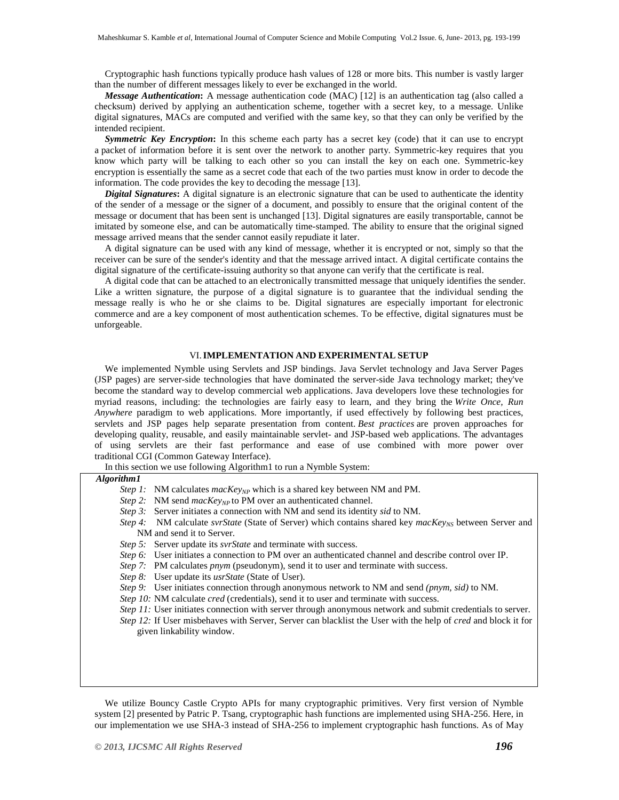Cryptographic hash functions typically produce hash values of 128 or more bits. This number is vastly larger than the number of different messages likely to ever be exchanged in the world.

*Message Authentication***:** A message authentication code (MAC) [12] is an authentication tag (also called a checksum) derived by applying an authentication scheme, together with a secret key, to a message. Unlike digital signatures, MACs are computed and verified with the same key, so that they can only be verified by the intended recipient.

*Symmetric Key Encryption***:** In this scheme each party has a secret key (code) that it can use to encrypt a packet of information before it is sent over the network to another party. Symmetric-key requires that you know which party will be talking to each other so you can install the key on each one. Symmetric-key encryption is essentially the same as a secret code that each of the two parties must know in order to decode the information. The code provides the key to decoding the message [13].

*Digital Signatures***:** A digital signature is an electronic signature that can be used to authenticate the identity of the sender of a message or the signer of a document, and possibly to ensure that the original content of the message or document that has been sent is unchanged [13]. Digital signatures are easily transportable, cannot be imitated by someone else, and can be automatically time-stamped. The ability to ensure that the original signed message arrived means that the sender cannot easily repudiate it later.

A digital signature can be used with any kind of message, whether it is encrypted or not, simply so that the receiver can be sure of the sender's identity and that the message arrived intact. A digital certificate contains the digital signature of the certificate-issuing authority so that anyone can verify that the certificate is real.

A digital code that can be attached to an electronically transmitted message that uniquely identifies the sender. Like a written signature, the purpose of a digital signature is to guarantee that the individual sending the message really is who he or she claims to be. Digital signatures are especially important for electronic commerce and are a key component of most authentication schemes. To be effective, digital signatures must be unforgeable.

# VI.**IMPLEMENTATION AND EXPERIMENTAL SETUP**

We implemented Nymble using Servlets and JSP bindings. Java Servlet technology and Java Server Pages (JSP pages) are server-side technologies that have dominated the server-side Java technology market; they've become the standard way to develop commercial web applications. Java developers love these technologies for myriad reasons, including: the technologies are fairly easy to learn, and they bring the *Write Once, Run Anywhere* paradigm to web applications. More importantly, if used effectively by following best practices, servlets and JSP pages help separate presentation from content. *Best practices* are proven approaches for developing quality, reusable, and easily maintainable servlet- and JSP-based web applications. The advantages of using servlets are their fast performance and ease of use combined with more power over traditional CGI (Common Gateway Interface).

In this section we use following Algorithm1 to run a Nymble System:

# *Algorithm1*

- *Step 1:* NM calculates  $macKey_{NP}$  which is a shared key between NM and PM.
- *Step 2:* NM send *macKey<sub>NP</sub>* to PM over an authenticated channel.
- *Step 3:* Server initiates a connection with NM and send its identity *sid* to NM.
- *Step 4:* NM calculate *svrState* (State of Server) which contains shared key *macKey<sub>NS</sub>* between Server and NM and send it to Server.
- *Step 5:* Server update its *svrState* and terminate with success.
- *Step 6:* User initiates a connection to PM over an authenticated channel and describe control over IP.
- *Step 7:* PM calculates *pnym* (pseudonym), send it to user and terminate with success.
- *Step 8:* User update its *usrState* (State of User).
- *Step 9:* User initiates connection through anonymous network to NM and send *(pnym, sid)* to NM.
- *Step 10:* NM calculate *cred* (credentials), send it to user and terminate with success.
- *Step 11:* User initiates connection with server through anonymous network and submit credentials to server. *Step 12:* If User misbehaves with Server, Server can blacklist the User with the help of *cred* and block it for given linkability window.

We utilize Bouncy Castle Crypto APIs for many cryptographic primitives. Very first version of Nymble system [2] presented by Patric P. Tsang, cryptographic hash functions are implemented using SHA-256. Here, in our implementation we use SHA-3 instead of SHA-256 to implement cryptographic hash functions. As of May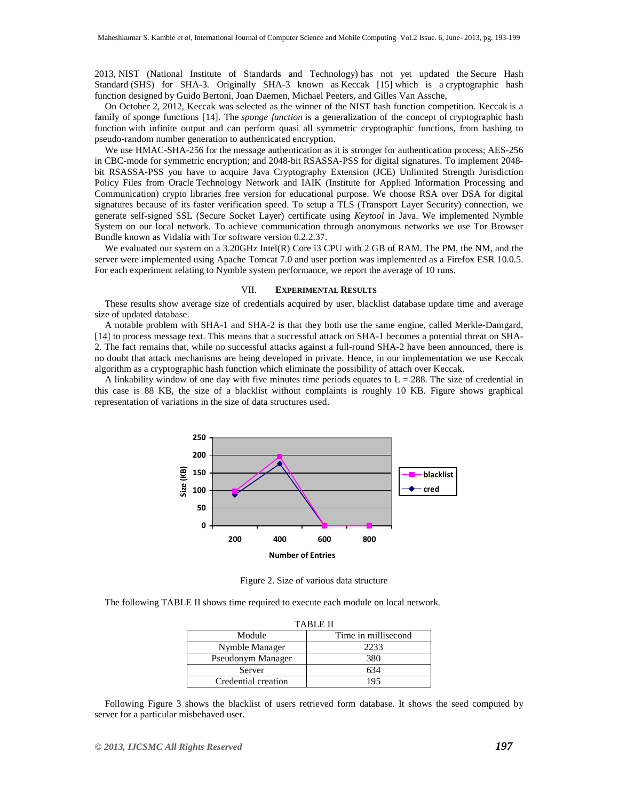2013, NIST (National Institute of Standards and Technology) has not yet updated the Secure Hash Standard (SHS) for SHA-3. Originally SHA-3 known as Keccak [15] which is a cryptographic hash function designed by Guido Bertoni, Joan Daemen, Michael Peeters, and Gilles Van Assche,

On October 2, 2012, Keccak was selected as the winner of the NIST hash function competition. Keccak is a family of sponge functions [14]. The *sponge function* is a generalization of the concept of cryptographic hash function with infinite output and can perform quasi all symmetric cryptographic functions, from hashing to pseudo-random number generation to authenticated encryption.

We use HMAC-SHA-256 for the message authentication as it is stronger for authentication process; AES-256 in CBC-mode for symmetric encryption; and 2048-bit RSASSA-PSS for digital signatures. To implement 2048 bit RSASSA-PSS you have to acquire Java Cryptography Extension (JCE) Unlimited Strength Jurisdiction Policy Files from Oracle Technology Network and IAIK (Institute for Applied Information Processing and Communication) crypto libraries free version for educational purpose. We choose RSA over DSA for digital signatures because of its faster verification speed. To setup a TLS (Transport Layer Security) connection, we generate self-signed SSL (Secure Socket Layer) certificate using *Keytool* in Java. We implemented Nymble System on our local network. To achieve communication through anonymous networks we use Tor Browser Bundle known as Vidalia with Tor software version 0.2.2.37.

We evaluated our system on a 3.20GHz Intel(R) Core i3 CPU with 2 GB of RAM. The PM, the NM, and the server were implemented using Apache Tomcat 7.0 and user portion was implemented as a Firefox ESR 10.0.5. For each experiment relating to Nymble system performance, we report the average of 10 runs.

#### VII. **EXPERIMENTAL RESULTS**

These results show average size of credentials acquired by user, blacklist database update time and average size of updated database.

A notable problem with SHA-1 and SHA-2 is that they both use the same engine, called Merkle-Damgard, [14] to process message text. This means that a successful attack on SHA-1 becomes a potential threat on SHA-2. The fact remains that, while no successful attacks against a full-round SHA-2 have been announced, there is no doubt that attack mechanisms are being developed in private. Hence, in our implementation we use Keccak algorithm as a cryptographic hash function which eliminate the possibility of attach over Keccak.

A linkability window of one day with five minutes time periods equates to  $L = 288$ . The size of credential in this case is 88 KB, the size of a blacklist without complaints is roughly 10 KB. Figure shows graphical representation of variations in the size of data structures used.



Figure 2. Size of various data structure

The following TABLE II shows time required to execute each module on local network.

| <b>TABLE II</b>     |                     |  |
|---------------------|---------------------|--|
| Module              | Time in millisecond |  |
| Nymble Manager      | 2233                |  |
| Pseudonym Manager   | 380                 |  |
| Server              | 634                 |  |
| Credential creation | 195                 |  |

Following Figure 3 shows the blacklist of users retrieved form database. It shows the seed computed by server for a particular misbehaved user.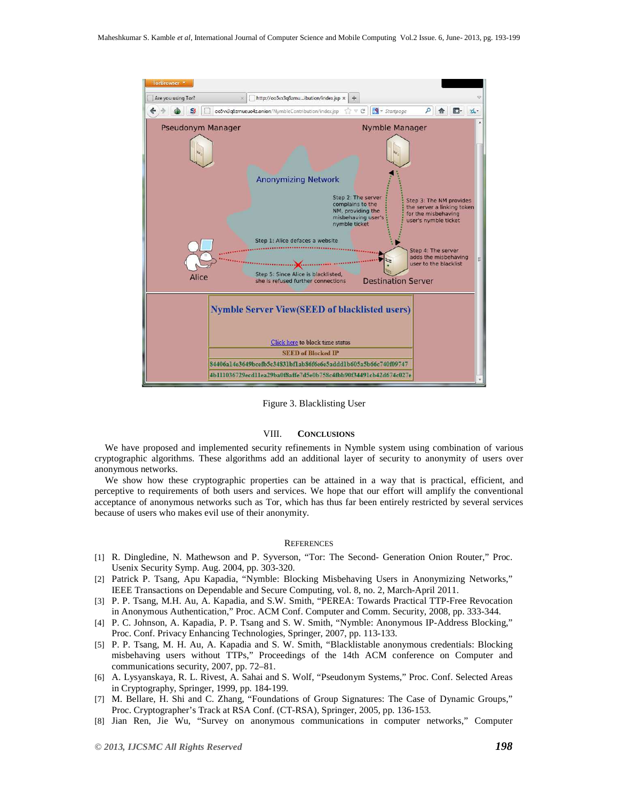

Figure 3. Blacklisting User

#### VIII. **CONCLUSIONS**

We have proposed and implemented security refinements in Nymble system using combination of various cryptographic algorithms. These algorithms add an additional layer of security to anonymity of users over anonymous networks.

We show how these cryptographic properties can be attained in a way that is practical, efficient, and perceptive to requirements of both users and services. We hope that our effort will amplify the conventional acceptance of anonymous networks such as Tor, which has thus far been entirely restricted by several services because of users who makes evil use of their anonymity.

#### **REFERENCES**

- [1] R. Dingledine, N. Mathewson and P. Syverson, "Tor: The Second- Generation Onion Router," Proc. Usenix Security Symp. Aug. 2004, pp. 303-320.
- [2] Patrick P. Tsang, Apu Kapadia, "Nymble: Blocking Misbehaving Users in Anonymizing Networks," IEEE Transactions on Dependable and Secure Computing, vol. 8, no. 2, March-April 2011.
- [3] P. P. Tsang, M.H. Au, A. Kapadia, and S.W. Smith, "PEREA: Towards Practical TTP-Free Revocation in Anonymous Authentication," Proc. ACM Conf. Computer and Comm. Security, 2008, pp. 333-344.
- [4] P. C. Johnson, A. Kapadia, P. P. Tsang and S. W. Smith, "Nymble: Anonymous IP-Address Blocking," Proc. Conf. Privacy Enhancing Technologies, Springer, 2007, pp. 113-133.
- [5] P. P. Tsang, M. H. Au, A. Kapadia and S. W. Smith, "Blacklistable anonymous credentials: Blocking misbehaving users without TTPs," Proceedings of the 14th ACM conference on Computer and communications security, 2007, pp. 72–81.
- [6] A. Lysyanskaya, R. L. Rivest, A. Sahai and S. Wolf, "Pseudonym Systems," Proc. Conf. Selected Areas in Cryptography, Springer, 1999, pp. 184-199.
- [7] M. Bellare, H. Shi and C. Zhang, "Foundations of Group Signatures: The Case of Dynamic Groups," Proc. Cryptographer's Track at RSA Conf. (CT-RSA), Springer, 2005, pp. 136-153.
- [8] Jian Ren, Jie Wu, "Survey on anonymous communications in computer networks," Computer